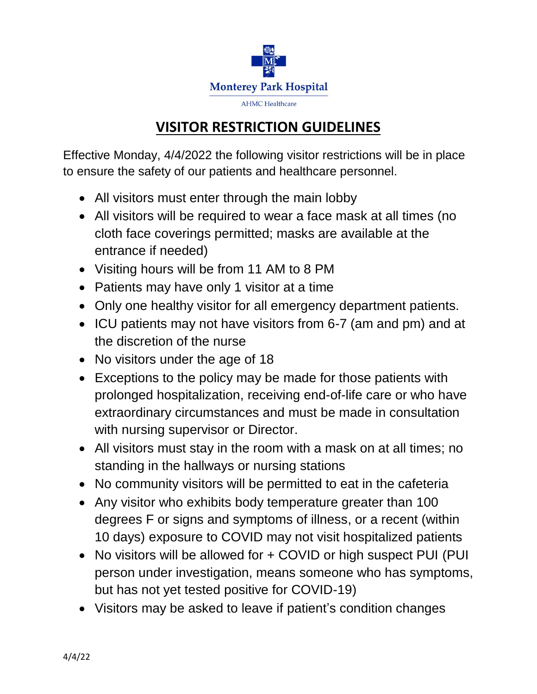

## **VISITOR RESTRICTION GUIDELINES**

Effective Monday, 4/4/2022 the following visitor restrictions will be in place to ensure the safety of our patients and healthcare personnel.

- All visitors must enter through the main lobby
- All visitors will be required to wear a face mask at all times (no cloth face coverings permitted; masks are available at the entrance if needed)
- Visiting hours will be from 11 AM to 8 PM
- Patients may have only 1 visitor at a time
- Only one healthy visitor for all emergency department patients.
- ICU patients may not have visitors from 6-7 (am and pm) and at the discretion of the nurse
- No visitors under the age of 18
- Exceptions to the policy may be made for those patients with prolonged hospitalization, receiving end-of-life care or who have extraordinary circumstances and must be made in consultation with nursing supervisor or Director.
- All visitors must stay in the room with a mask on at all times; no standing in the hallways or nursing stations
- No community visitors will be permitted to eat in the cafeteria
- Any visitor who exhibits body temperature greater than 100 degrees F or signs and symptoms of illness, or a recent (within 10 days) exposure to COVID may not visit hospitalized patients
- No visitors will be allowed for + COVID or high suspect PUI (PUI) person under investigation, means someone who has symptoms, but has not yet tested positive for COVID-19)
- Visitors may be asked to leave if patient's condition changes